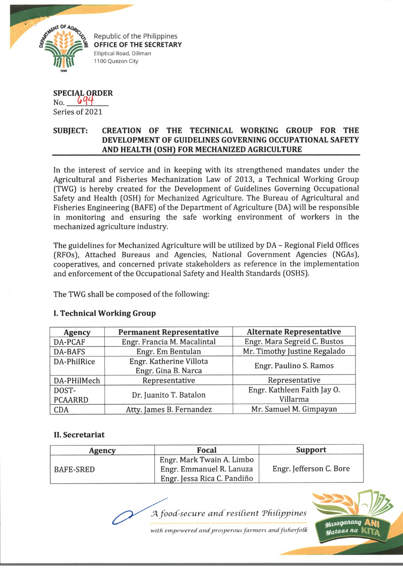

Republic of the Philippines **OFFICE OF THE SECRETARY** Elliptical Road, Diliman 1100 Quezon City

## **SPECIAL ORDER**  $No.$   $694$ Series of 2021

## **SUBJECT: CREATION OF THE TECHNICAL WORKING GROUP FOR THE DEVELOPMENT OF GUIDELINES GOVERNING OCCUPATIONAL SAFETY \_\_\_\_\_\_\_\_\_\_\_\_\_\_\_\_ AND HEALTH (OSH) FOR MECHANIZED AGRICULTURE\_\_\_\_\_\_\_\_\_\_\_\_\_\_\_\_\_\_\_**

In the interest of service and in keeping with its strengthened mandates under the Agricultural and Fisheries Mechanization Law of 2013, a Technical Working Group (TWG) is hereby created for the Development of Guidelines Governing Occupational Safety and Health (OSH) for Mechanized Agriculture. The Bureau of Agricultural and Fisheries Engineering (BAFE) of the Department of Agriculture (DA) will be responsible in monitoring and ensuring the safe working environment of workers in the mechanized agriculture industry.

The guidelines for Mechanized Agriculture will be utilized by DA - Regional Field Offices (RFOs), Attached Bureaus and Agencies, National Government Agencies (NGAs), cooperatives, and concerned private stakeholders as reference in the implementation and enforcement of the Occupational Safety and Health Standards (OSHS).

The TWG shall be composed of the following:

| <b>Agency</b>      | <b>Permanent Representative</b>                | <b>Alternate Representative</b> |
|--------------------|------------------------------------------------|---------------------------------|
| DA-PCAF            | Engr. Francia M. Macalintal                    | Engr. Mara Segreid C. Bustos    |
| <b>DA-BAFS</b>     | Engr. Em Bentulan                              | Mr. Timothy Justine Regalado    |
| <b>DA-PhilRice</b> | Engr. Katherine Villota<br>Engr. Gina B. Narca | Engr. Paulino S. Ramos          |
| DA-PHilMech        | Representative                                 | Representative                  |
| DOST-              | Dr. Juanito T. Batalon                         | Engr. Kathleen Faith Jay O.     |
| <b>PCAARRD</b>     |                                                | Villarma                        |
| <b>CDA</b>         | Atty. James B. Fernandez                       | Mr. Samuel M. Gimpayan          |

## **I. Technical Working Group**

## **II. Secretariat**

| <b>Agency</b>    | Focal                       | <b>Support</b>          |
|------------------|-----------------------------|-------------------------|
|                  | Engr. Mark Twain A. Limbo   |                         |
| <b>BAFE-SRED</b> | Engr. Emmanuel R. Lanuza    | Engr. Jefferson C. Bore |
|                  | Engr. Jessa Rica C. Pandiño |                         |

A *food-secure and resilient Philippines* 

with empowered and prosperous farmers and fisherfolk